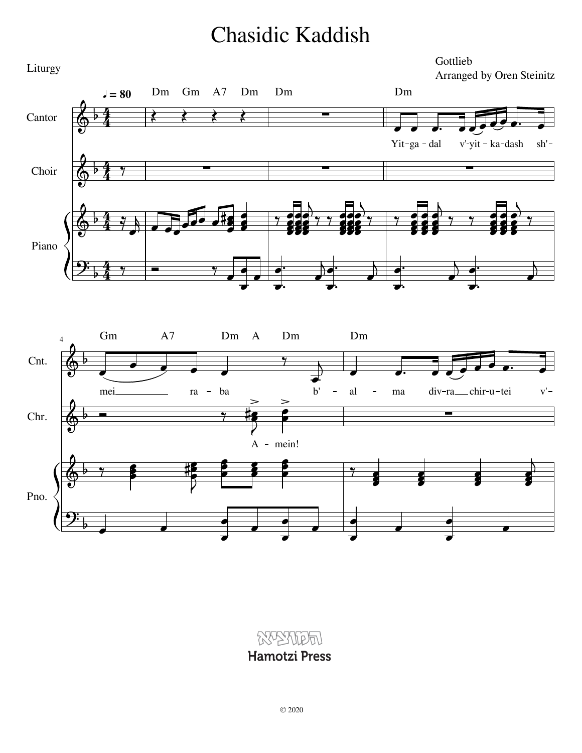## Chasidic Kaddish





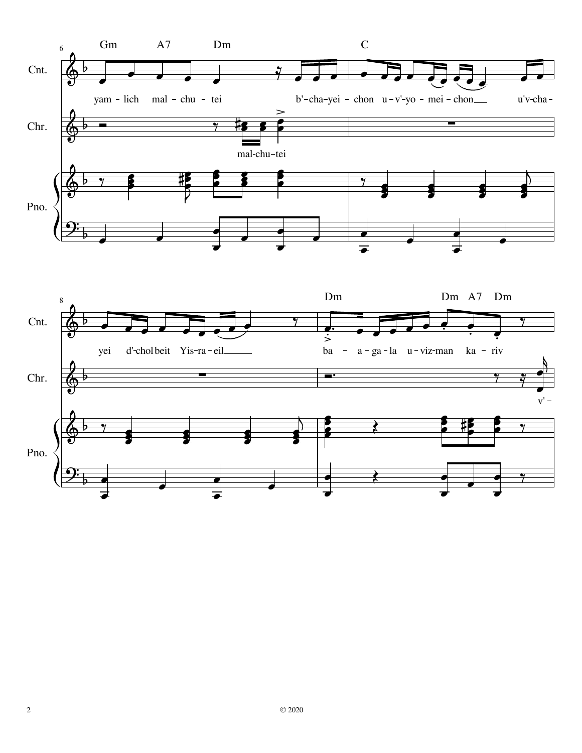

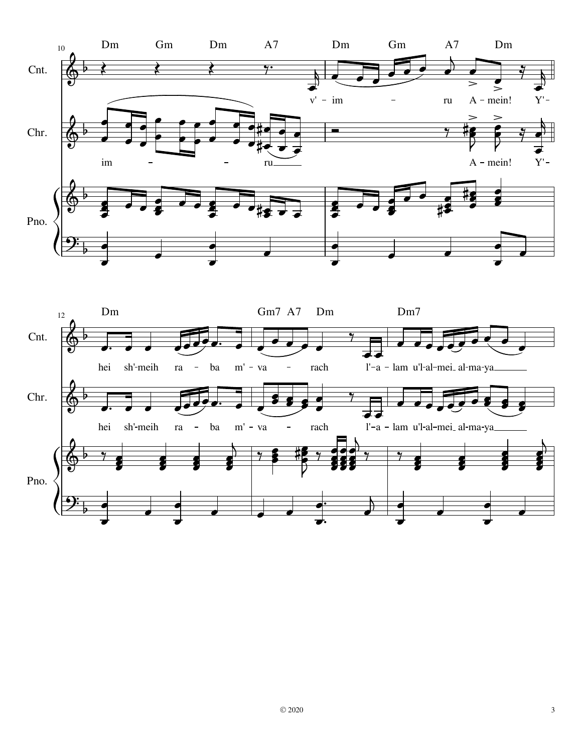

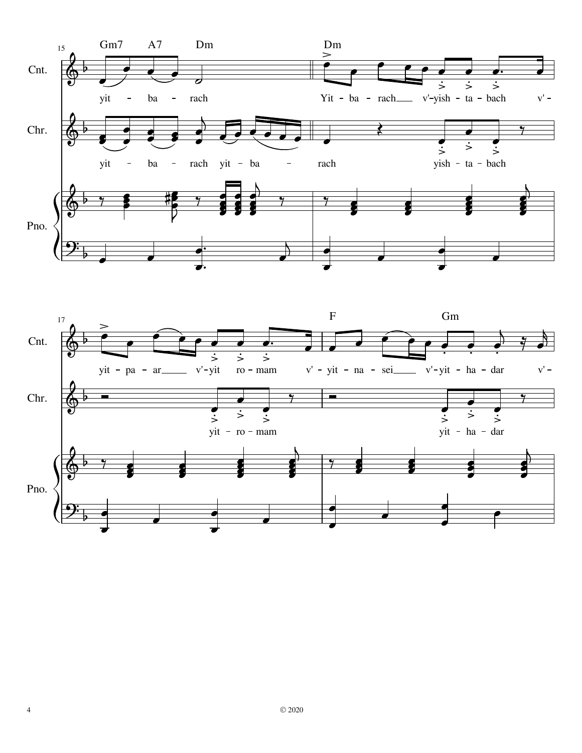

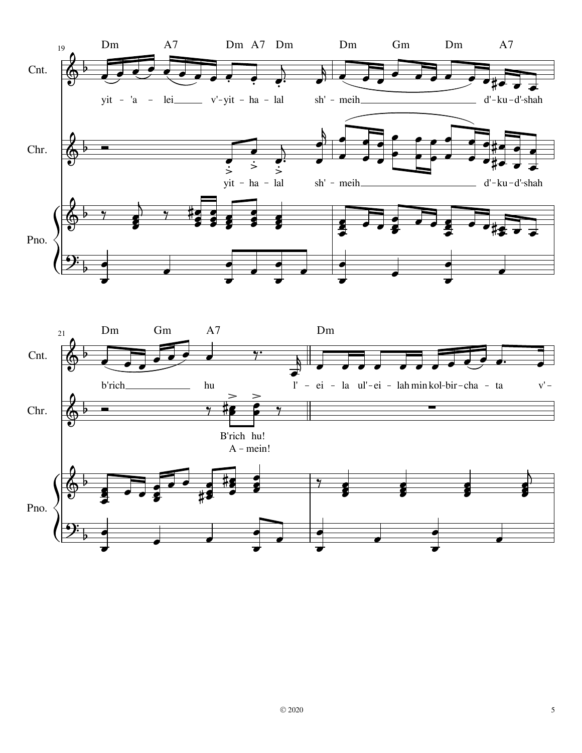

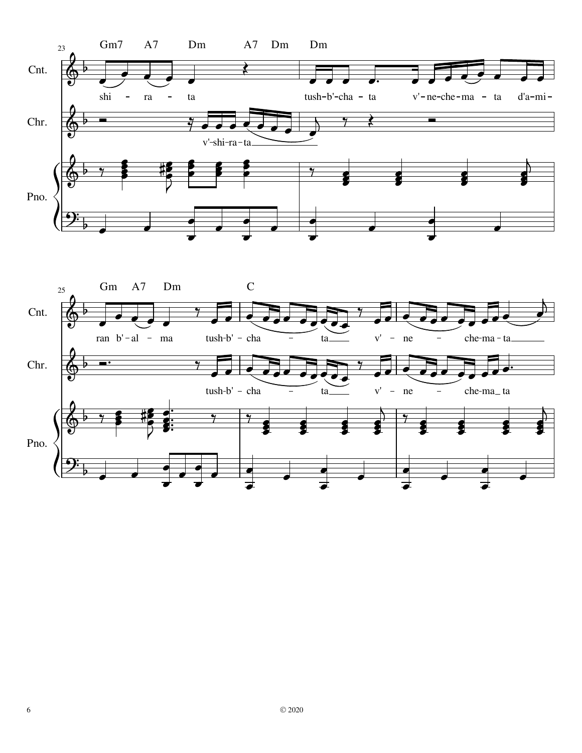

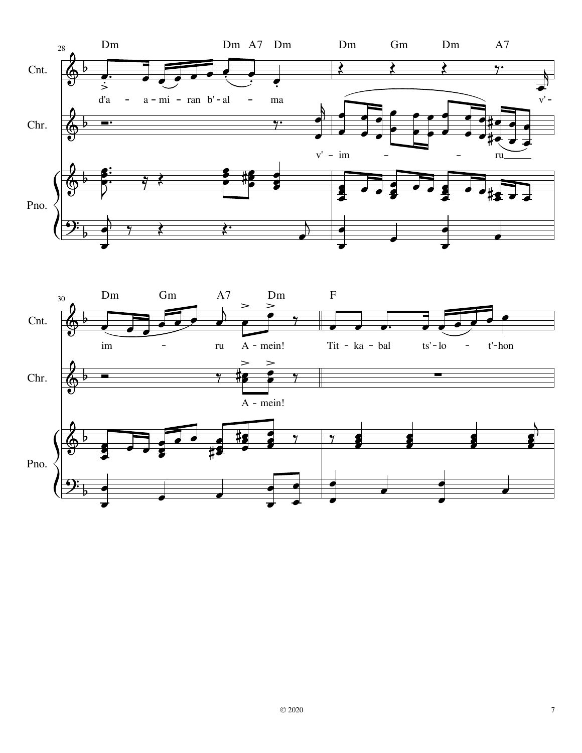

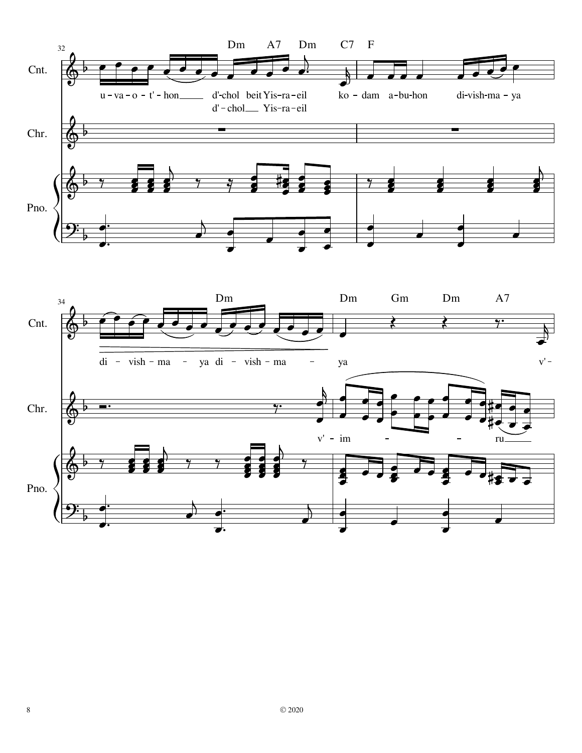

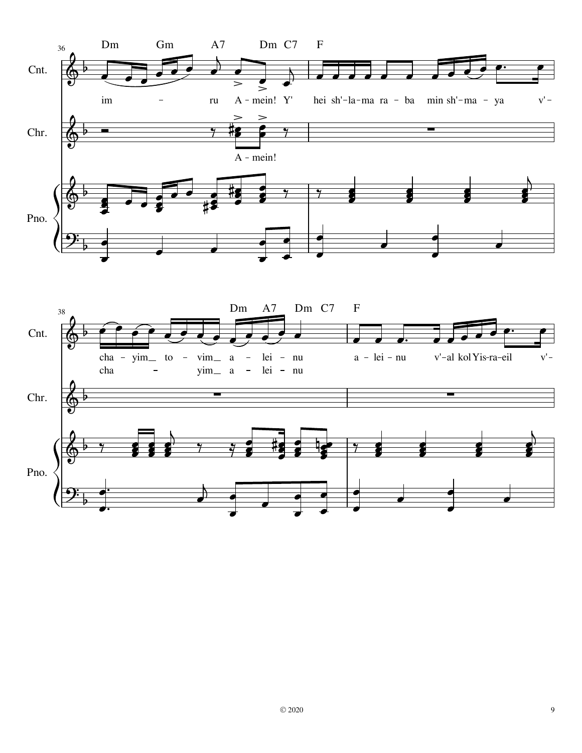

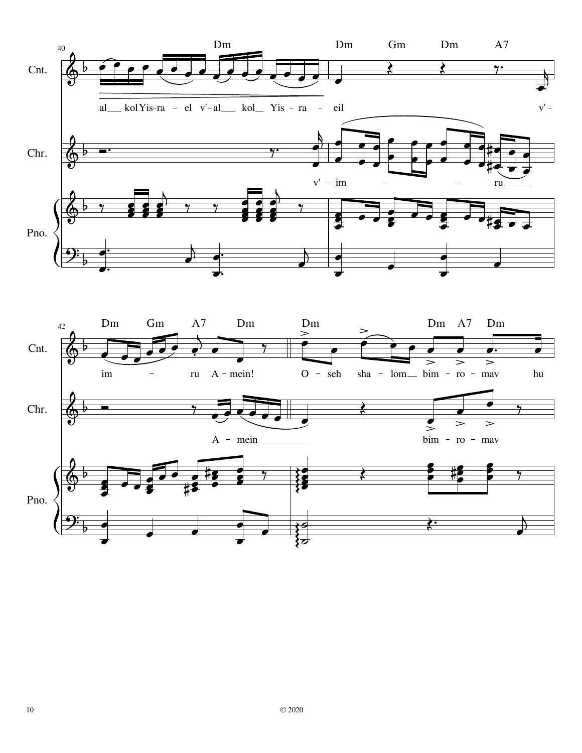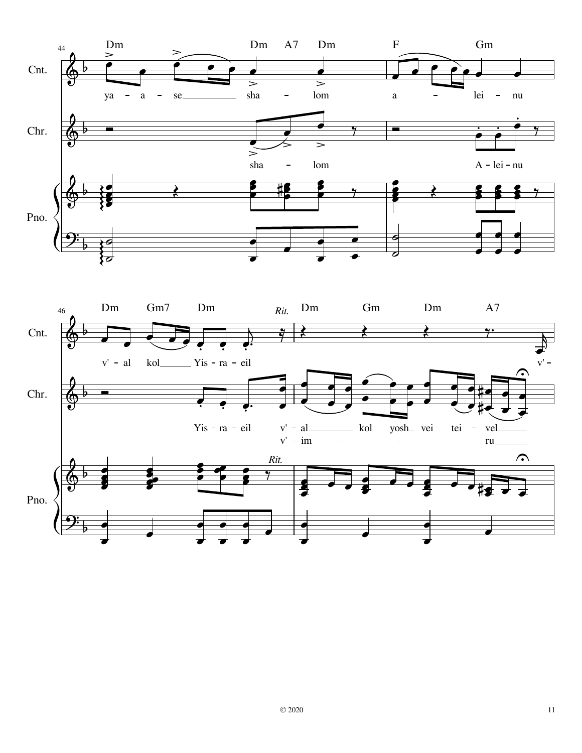

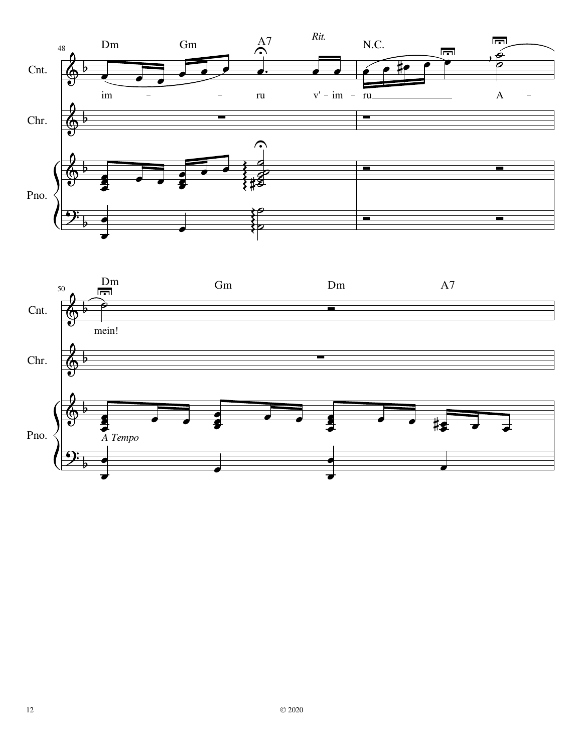